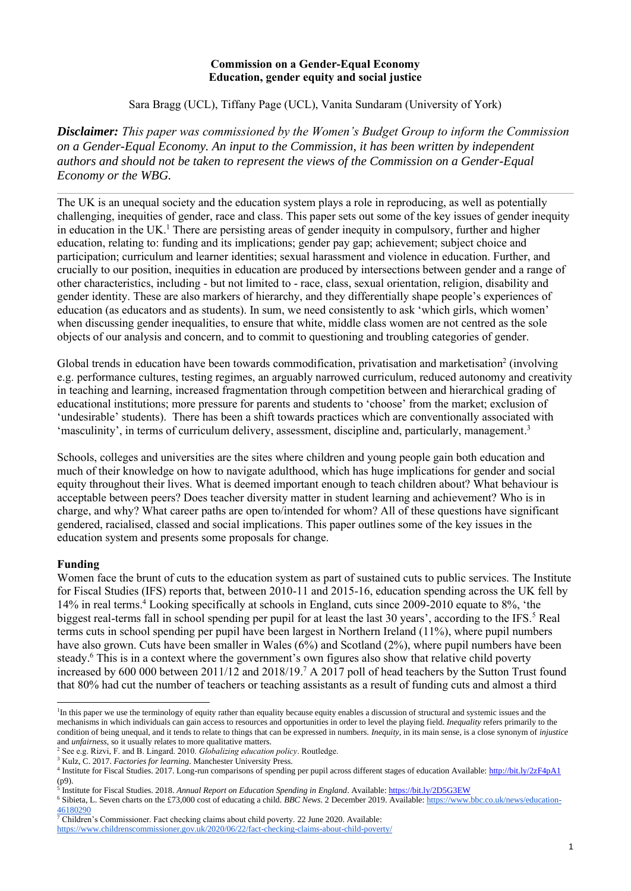#### **Commission on a Gender-Equal Economy Education, gender equity and social justice**

Sara Bragg (UCL), Tiffany Page (UCL), Vanita Sundaram (University of York)

*Disclaimer: This paper was commissioned by the Women's Budget Group to inform the Commission on a Gender-Equal Economy. An input to the Commission, it has been written by independent authors and should not be taken to represent the views of the Commission on a Gender-Equal Economy or the WBG.*

The UK is an unequal society and the education system plays a role in reproducing, as well as potentially challenging, inequities of gender, race and class. This paper sets out some of the key issues of gender inequity in education in the UK.<sup>1</sup> There are persisting areas of gender inequity in compulsory, further and higher education, relating to: funding and its implications; gender pay gap; achievement; subject choice and participation; curriculum and learner identities; sexual harassment and violence in education. Further, and crucially to our position, inequities in education are produced by intersections between gender and a range of other characteristics, including - but not limited to - race, class, sexual orientation, religion, disability and gender identity. These are also markers of hierarchy, and they differentially shape people's experiences of education (as educators and as students). In sum, we need consistently to ask 'which girls, which women' when discussing gender inequalities, to ensure that white, middle class women are not centred as the sole objects of our analysis and concern, and to commit to questioning and troubling categories of gender.

Global trends in education have been towards commodification, privatisation and marketisation<sup>2</sup> (involving e.g. performance cultures, testing regimes, an arguably narrowed curriculum, reduced autonomy and creativity in teaching and learning, increased fragmentation through competition between and hierarchical grading of educational institutions; more pressure for parents and students to 'choose' from the market; exclusion of 'undesirable' students). There has been a shift towards practices which are conventionally associated with 'masculinity', in terms of curriculum delivery, assessment, discipline and, particularly, management.<sup>3</sup>

Schools, colleges and universities are the sites where children and young people gain both education and much of their knowledge on how to navigate adulthood, which has huge implications for gender and social equity throughout their lives. What is deemed important enough to teach children about? What behaviour is acceptable between peers? Does teacher diversity matter in student learning and achievement? Who is in charge, and why? What career paths are open to/intended for whom? All of these questions have significant gendered, racialised, classed and social implications. This paper outlines some of the key issues in the education system and presents some proposals for change.

# **Funding**

Women face the brunt of cuts to the education system as part of sustained cuts to public services. The Institute for Fiscal Studies (IFS) reports that, between 2010-11 and 2015-16, education spending across the UK fell by 14% in real terms. <sup>4</sup> Looking specifically at schools in England, cuts since 2009-2010 equate to 8%, 'the biggest real-terms fall in school spending per pupil for at least the last 30 years', according to the IFS.<sup>5</sup> Real terms cuts in school spending per pupil have been largest in Northern Ireland (11%), where pupil numbers have also grown. Cuts have been smaller in Wales (6%) and Scotland (2%), where pupil numbers have been steady. <sup>6</sup> This is in a context where the government's own figures also show that relative child poverty increased by 600 000 between 2011/12 and 2018/19. <sup>7</sup> A 2017 poll of head teachers by the Sutton Trust found that 80% had cut the number of teachers or teaching assistants as a result of funding cuts and almost a third

<https://www.childrenscommissioner.gov.uk/2020/06/22/fact-checking-claims-about-child-poverty/>

<sup>&</sup>lt;sup>1</sup>In this paper we use the terminology of equity rather than equality because equity enables a discussion of structural and systemic issues and the mechanisms in which individuals can gain access to resources and opportunities in order to level the playing field. *Inequality* refers primarily to the condition of being unequal, and it tends to relate to things that can be expressed in numbers. *Inequity*, in its main sense, is a close synonym of *injustice*  and *unfairness*, so it usually relates to more qualitative matters.

<sup>2</sup> See e.g. Rizvi, F. and B. Lingard. 2010. *Globalizing education policy*. Routledge.

<sup>&</sup>lt;sup>3</sup> Kulz, C. 2017. *Factories for learning*. Manchester University Press.

<sup>&</sup>lt;sup>4</sup> Institute for Fiscal Studies. 2017. Long-run comparisons of spending per pupil across different stages of education Available[: http://bit.ly/2zF4pA1](http://bit.ly/2zF4pA1) (p9).

<sup>5</sup> Institute for Fiscal Studies. 2018. *Annual Report on Education Spending in England*. Available[: https://bit.ly/2D5G3EW](https://bit.ly/2D5G3EW)

<sup>6</sup> Sibieta, L. Seven charts on the £73,000 cost of educating a child. *BBC News*. 2 December 2019. Available: [https://www.bbc.co.uk/news/education-](https://www.bbc.co.uk/news/education-46180290)[46180290](https://www.bbc.co.uk/news/education-46180290)

<sup>7</sup> Children's Commissioner. Fact checking claims about child poverty. 22 June 2020. Available: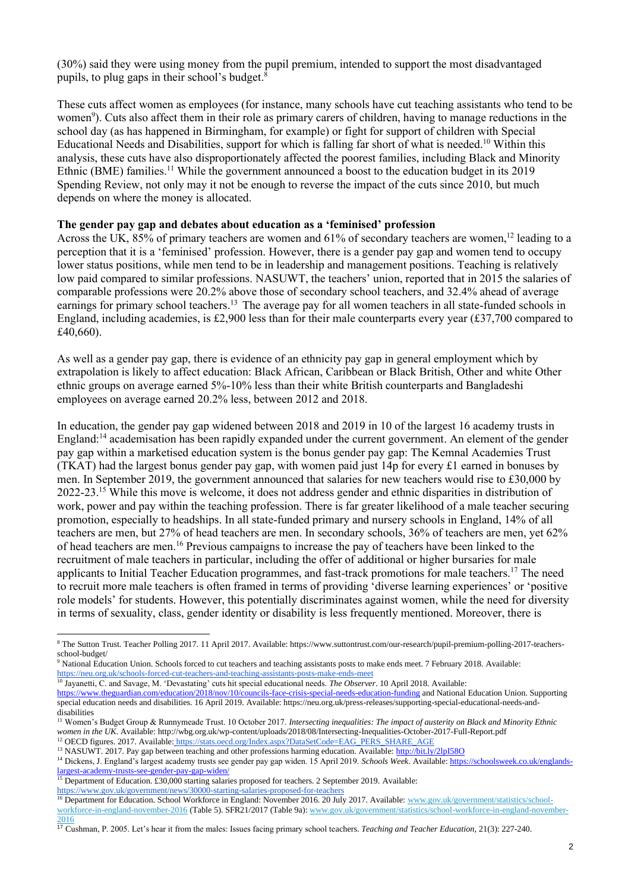(30%) said they were using money from the pupil premium, intended to support the most disadvantaged pupils, to plug gaps in their school's budget. 8

These cuts affect women as employees (for instance, many schools have cut teaching assistants who tend to be women<sup>9</sup>). Cuts also affect them in their role as primary carers of children, having to manage reductions in the school day (as has happened in Birmingham, for example) or fight for support of children with Special Educational Needs and Disabilities, support for which is falling far short of what is needed. <sup>10</sup> Within this analysis, these cuts have also disproportionately affected the poorest families, including Black and Minority Ethnic (BME) families.<sup>11</sup> While the government announced a boost to the education budget in its 2019 Spending Review, not only may it not be enough to reverse the impact of the cuts since 2010, but much depends on where the money is allocated.

### **The gender pay gap and debates about education as a 'feminised' profession**

Across the UK, 85% of primary teachers are women and 61% of secondary teachers are women,<sup>12</sup> leading to a perception that it is a 'feminised' profession. However, there is a gender pay gap and women tend to occupy lower status positions, while men tend to be in leadership and management positions. Teaching is relatively low paid compared to similar professions. NASUWT, the teachers' union, reported that in 2015 the salaries of comparable professions were 20.2% above those of secondary school teachers, and 32.4% ahead of average earnings for primary school teachers.<sup>13</sup> The average pay for all women teachers in all state-funded schools in England, including academies, is £2,900 less than for their male counterparts every year (£37,700 compared to £40,660).

As well as a gender pay gap, there is evidence of an ethnicity pay gap in general employment which by extrapolation is likely to affect education: Black African, Caribbean or Black British, Other and white Other ethnic groups on average earned 5%-10% less than their white British counterparts and Bangladeshi employees on average earned 20.2% less, between 2012 and 2018.

In education, the gender pay gap widened between 2018 and 2019 in 10 of the largest 16 academy trusts in England: <sup>14</sup> academisation has been rapidly expanded under the current government. An element of the gender pay gap within a marketised education system is the bonus gender pay gap: The Kemnal Academies Trust (TKAT) had the largest bonus gender pay gap, with women paid just 14p for every £1 earned in bonuses by men. In September 2019, the government announced that salaries for new teachers would rise to £30,000 by 2022-23. <sup>15</sup> While this move is welcome, it does not address gender and ethnic disparities in distribution of work, power and pay within the teaching profession. There is far greater likelihood of a male teacher securing promotion, especially to headships. In all state-funded primary and nursery schools in England, 14% of all teachers are men, but 27% of head teachers are men. In secondary schools, 36% of teachers are men, yet 62% of head teachers are men. <sup>16</sup> Previous campaigns to increase the pay of teachers have been linked to the recruitment of male teachers in particular, including the offer of additional or higher bursaries for male applicants to Initial Teacher Education programmes, and fast-track promotions for male teachers.<sup>17</sup> The need to recruit more male teachers is often framed in terms of providing 'diverse learning experiences' or 'positive role models' for students. However, this potentially discriminates against women, while the need for diversity in terms of sexuality, class, gender identity or disability is less frequently mentioned. Moreover, there is

<sup>8</sup> [The](http://www.suttontrust.com/researcharchive/pupil-premium-polling-2017/) Sutton Trust. Teacher Polling 2017. 11 April 2017. Available: https://www.suttontrust.com/our-research/pupil-premium-polling-2017-teachersschool-budget/

<sup>9</sup> National Education Union. Schools forced to cut teachers and teaching assistants posts to make ends meet. 7 February 2018. Availabl[e:](file:///C:/Users/tlhp/Dropbox/Research/A%20A%20UCL/2019-2020/Consulting/WBG/Revisions/) <https://neu.org.uk/schools-forced-cut-teachers-and-teaching-assistants-posts-make-ends-meet>

<sup>10</sup> Jayanetti, C. and Savage, M. 'Devastating' cuts hit special educational needs. *The Observer*. 10 April 2018. Available:

<https://www.theguardian.com/education/2018/nov/10/councils-face-crisis-special-needs-education-funding> and National Education Union. Supporting special education needs and disabilities. 16 April 2019. Available: https://neu.org.uk/press-releases/supporting-special-educational-needs-anddisabilities

<sup>11</sup> Women's Budget Group & Runnymeade Trust. 10 October 2017. *Intersecting inequalities: The impact of austerity on Black and Minority Ethnic women in the UK*. Available: http://wbg.org.uk/wp-content/uploads/2018/08/Intersecting-Inequalities-October-2017-Full-Report.pdf <sup>12</sup> OECD figures. 2017. Available: [https://stats.oecd.org/Index.aspx?DataSetCode=EAG\\_PERS\\_SHARE\\_AGE](https://stats.oecd.org/Index.aspx?DataSetCode=EAG_PERS_SHARE_AGE)

<sup>&</sup>lt;sup>13</sup> NASUWT. 2017. Pay gap between teaching and other professions harming education. Available: http://bit.ly/2lpI580

<sup>14</sup> Dickens, J. England's largest academy trusts see gender pay gap widen. 15 April 2019. *Schools Week*. Available[: https://schoolsweek.co.uk/englands](https://schoolsweek.co.uk/englands-largest-academy-trusts-see-gender-pay-gap-widen/)[largest-academy-trusts-see-gender-pay-gap-widen/](https://schoolsweek.co.uk/englands-largest-academy-trusts-see-gender-pay-gap-widen/)

<sup>&</sup>lt;sup>15</sup> Department of Education. £30,000 starting salaries proposed for teachers. 2 September 2019. Available:

<https://www.gov.uk/government/news/30000-starting-salaries-proposed-for-teachers>

<sup>&</sup>lt;sup>16</sup> Department for Education. School Workforce in England: November 2016. 20 July 2017. Available: [www.gov.uk/government/statistics/school](http://www.gov.uk/government/statistics/school-workforce-in-england-november-2015)[workforce-in-england-november-2016](http://www.gov.uk/government/statistics/school-workforce-in-england-november-2015) (Table 5). SFR21/2017 (Table 9a): [www.gov.uk/government/statistics/school-workforce-in-england-november-](http://www.gov.uk/government/statistics/school-workforce-in-england-november-2015)[2016](http://www.gov.uk/government/statistics/school-workforce-in-england-november-2015)

<sup>17</sup> Cushman, P. 2005. Let's hear it from the males: Issues facing primary school teachers. *Teaching and Teacher Education,* 21(3): 227-240.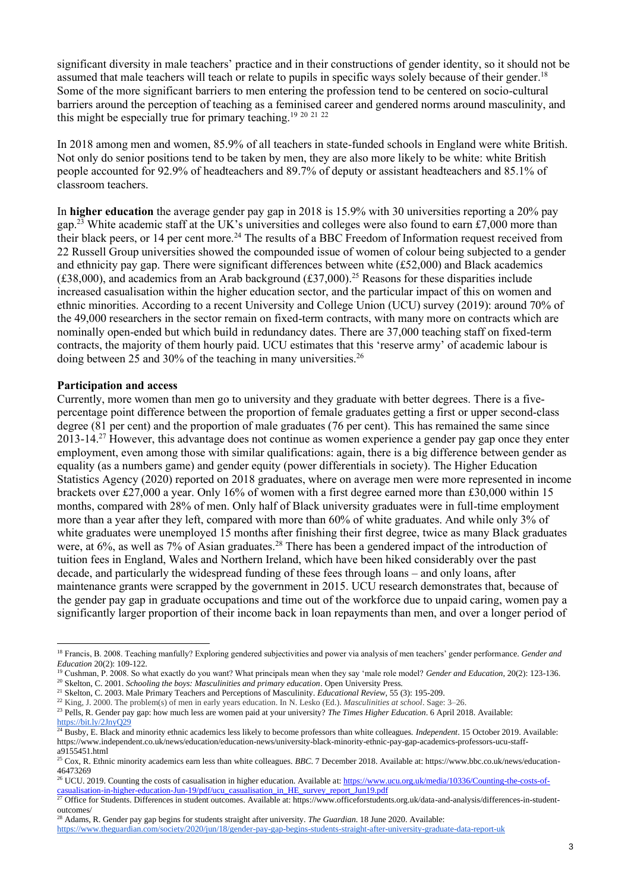significant diversity in male teachers' practice and in their constructions of gender identity, so it should not be assumed that male teachers will teach or relate to pupils in specific ways solely because of their gender.<sup>18</sup> Some of the more significant barriers to men entering the profession tend to be centered on socio-cultural barriers around the perception of teaching as a feminised career and gendered norms around masculinity, and this might be especially true for primary teaching.<sup>19 20 21 22</sup>

In 2018 among men and women, 85.9% of all teachers in state-funded schools in England were white British. Not only do senior positions tend to be taken by men, they are also more likely to be white: white British people accounted for 92.9% of headteachers and 89.7% of deputy or assistant headteachers and 85.1% of classroom teachers.

In **higher education** the average gender pay gap in 2018 is 15.9% with 30 universities reporting a 20% pay gap.<sup>23</sup> White academic staff at the UK's universities and colleges were also found to earn £7,000 more than their black peers, or 14 per cent more.<sup>24</sup> The results of a BBC Freedom of Information request received from 22 Russell Group universities showed the compounded issue of women of colour being subjected to a gender and ethnicity pay gap. There were significant differences between white (£52,000) and Black academics (£38,000), and academics from an Arab background (£37,000).<sup>25</sup> Reasons for these disparities include increased casualisation within the higher education sector, and the particular impact of this on women and ethnic minorities. According to a recent University and College Union (UCU) survey (2019): around 70% of the 49,000 researchers in the sector remain on fixed-term contracts, with many more on contracts which are nominally open-ended but which build in redundancy dates. There are 37,000 teaching staff on fixed-term contracts, the majority of them hourly paid. UCU estimates that this 'reserve army' of academic labour is doing between 25 and 30% of the teaching in many universities.<sup>26</sup>

### **Participation and access**

Currently, more women than men go to university and they graduate with better degrees. There is a fivepercentage point difference between the proportion of female graduates getting a first or upper second-class degree (81 per cent) and the proportion of male graduates (76 per cent). This has remained the same since 2013-14.<sup>27</sup> However, this advantage does not continue as women experience a gender pay gap once they enter employment, even among those with similar qualifications: again, there is a big difference between gender as equality (as a numbers game) and gender equity (power differentials in society). The Higher Education Statistics Agency (2020) reported on 2018 graduates, where on average men were more represented in income brackets over £27,000 a year. Only 16% of women with a first degree earned more than £30,000 within 15 months, compared with 28% of men. Only half of Black university graduates were in full-time employment more than a year after they left, compared with more than 60% of white graduates. And while only 3% of white graduates were unemployed 15 months after finishing their first degree, twice as many Black graduates were, at 6%, as well as 7% of Asian graduates.<sup>28</sup> There has been a gendered impact of the introduction of tuition fees in England, Wales and Northern Ireland, which have been hiked considerably over the past decade, and particularly the widespread funding of these fees through loans – and only loans, after maintenance grants were scrapped by the government in 2015. UCU research demonstrates that, because of the gender pay gap in graduate occupations and time out of the workforce due to unpaid caring, women pay a significantly larger proportion of their income back in loan repayments than men, and over a longer period of

<sup>18</sup> Francis, B. 2008. Teaching manfully? Exploring gendered subjectivities and power via analysis of men teachers' gender performance. *Gender and Education* 20(2): 109-122.

<sup>19</sup> Cushman, P. 2008. So what exactly do you want? What principals mean when they say 'male role model? *Gender and Education,* 20(2): 123-136.

<sup>20</sup> Skelton, C. 2001. *Schooling the boys: Masculinities and primary education*. Open University Press. <sup>21</sup> Skelton, C. 2003. Male Primary Teachers and Perceptions of Masculinity. *Educational Review,* 55 (3): 195-209.

<sup>22</sup> King, J. 2000. The problem(s) of men in early years education. In N. Lesko (Ed.). *Masculinities at school*. Sage: 3–26.

<sup>23</sup> Pells, R. Gender pay gap: how much less are women paid at your university? *The Times Higher Education*. 6 April 2018. Available:

<https://bit.ly/2JnyQ29>

<sup>24</sup> Busby, E. Black and minority ethnic academics less likely to become professors than white colleagues. *Independent*. 15 October 2019. Available: https://www.independent.co.uk/news/education/education-news/university-black-minority-ethnic-pay-gap-academics-professors-ucu-staffa9155451.html

<sup>&</sup>lt;sup>25</sup> Cox, R. Ethnic minority academics earn less than white colleagues. *BBC*. 7 December 2018. Available at: https://www.bbc.co.uk/news/education-46473269

<sup>&</sup>lt;sup>26</sup> UCU. 2019. Counting the costs of casualisation in higher education. Available at[: https://www.ucu.org.uk/media/10336/Counting-the-costs-of](https://www.ucu.org.uk/media/10336/Counting-the-costs-of-casualisation-in-higher-education-Jun-19/pdf/ucu_casualisation_in_HE_survey_report_Jun19.pdf)[casualisation-in-higher-education-Jun-19/pdf/ucu\\_casualisation\\_in\\_HE\\_survey\\_report\\_Jun19.pdf](https://www.ucu.org.uk/media/10336/Counting-the-costs-of-casualisation-in-higher-education-Jun-19/pdf/ucu_casualisation_in_HE_survey_report_Jun19.pdf)

<sup>&</sup>lt;sup>27</sup> Office for Students. Differences in student outcomes. Available at: https://www.officeforstudents.org.uk/data-and-analysis/differences-in-studentoutcomes/

<sup>28</sup> Adams, R. Gender pay gap begins for students straight after university. *The Guardian*. 18 June 2020. Available:

<https://www.theguardian.com/society/2020/jun/18/gender-pay-gap-begins-students-straight-after-university-graduate-data-report-uk>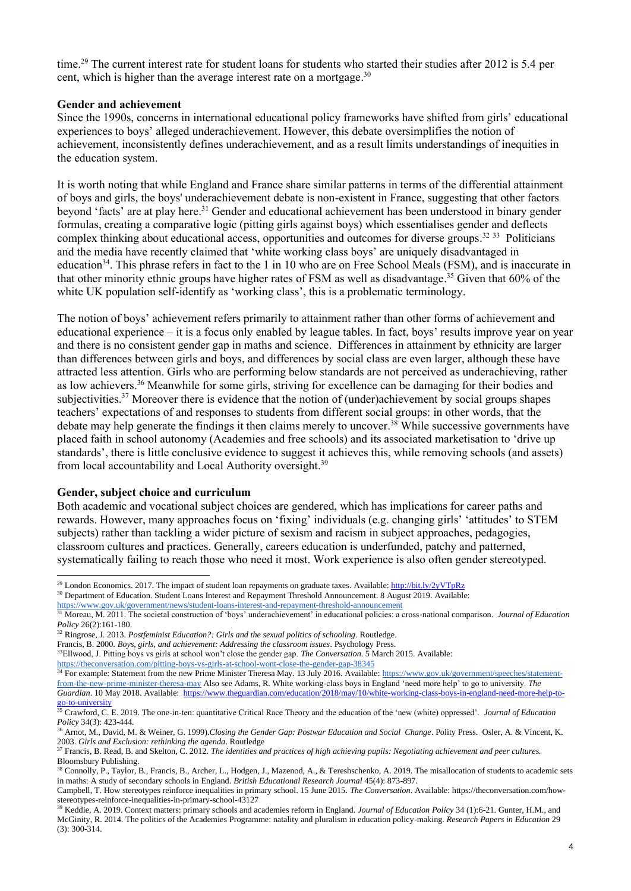time.<sup>29</sup> The current interest rate for student loans for students who started their studies after 2012 is 5.4 per cent, which is higher than the average interest rate on a mortgage.<sup>30</sup>

### **Gender and achievement**

Since the 1990s, concerns in international educational policy frameworks have shifted from girls' educational experiences to boys' alleged underachievement. However, this debate oversimplifies the notion of achievement, inconsistently defines underachievement, and as a result limits understandings of inequities in the education system.

It is worth noting that while England and France share similar patterns in terms of the differential attainment of boys and girls, the boys' underachievement debate is non-existent in France, suggesting that other factors beyond 'facts' are at play here.<sup>31</sup> Gender and educational achievement has been understood in binary gender formulas, creating a comparative logic (pitting girls against boys) which essentialises gender and deflects complex thinking about educational access, opportunities and outcomes for diverse groups.<sup>32</sup> 33 Politicians and the media have recently claimed that 'white working class boys' are uniquely disadvantaged in education<sup>34</sup>. This phrase refers in fact to the 1 in 10 who are on Free School Meals (FSM), and is inaccurate in that other minority ethnic groups have higher rates of FSM as well as disadvantage. <sup>35</sup> Given that 60% of the white UK population self-identify as 'working class', this is a problematic terminology.

The notion of boys' achievement refers primarily to attainment rather than other forms of achievement and educational experience – it is a focus only enabled by league tables. In fact, boys' results improve year on year and there is no consistent gender gap in maths and science. Differences in attainment by ethnicity are larger than differences between girls and boys, and differences by social class are even larger, although these have attracted less attention. Girls who are performing below standards are not perceived as underachieving, rather as low achievers.<sup>36</sup> Meanwhile for some girls, striving for excellence can be damaging for their bodies and subjectivities.<sup>37</sup> Moreover there is evidence that the notion of (under)achievement by social groups shapes teachers' expectations of and responses to students from different social groups: in other words, that the debate may help generate the findings it then claims merely to uncover.<sup>38</sup> While successive governments have placed faith in school autonomy (Academies and free schools) and its associated marketisation to 'drive up standards', there is little conclusive evidence to suggest it achieves this, while removing schools (and assets) from local accountability and Local Authority oversight.<sup>39</sup>

### **Gender, subject choice and curriculum**

Both academic and vocational subject choices are gendered, which has implications for career paths and rewards. However, many approaches focus on 'fixing' individuals (e.g. changing girls' 'attitudes' to STEM subjects) rather than tackling a wider picture of sexism and racism in subject approaches, pedagogies, classroom cultures and practices. Generally, careers education is underfunded, patchy and patterned, systematically failing to reach those who need it most. Work experience is also often gender stereotyped.

<sup>36</sup> Arnot, M., David, M. & Weiner, G. 1999).*Closing the Gender Gap: Postwar Education and Social Change*. Polity Press. Osler, A. & Vincent, K. 2003. *Girls and Exclusion: rethinking the agenda*. Routledge

<sup>&</sup>lt;sup>29</sup> London Economics. 2017. The impact of student loan repayments on graduate taxes. Available[: http://bit.ly/2yVTpRz](http://bit.ly/2yVTpRz) <sup>30</sup> Department of Education. Student Loans Interest and Repayment Threshold Announcement. 8 August 2019. Available:

<https://www.gov.uk/government/news/student-loans-interest-and-repayment-threshold-announcement>

<sup>&</sup>lt;sup>31</sup> Moreau, M. 2011. The societal construction of 'boys' underachievement' in educational policies: a cross-national comparison. *Journal of Education Policy* 26(2):161-180.

<sup>32</sup> Ringrose, J. 2013. *Postfeminist Education?: Girls and the sexual politics of schooling*. Routledge.

Francis, B. 2000. *Boys, girls, and achievement: Addressing the classroom issues*. Psychology Press. <sup>33</sup>Ellwood, J. Pitting boys vs girls at school won't close the gender gap. *The Conversation*. 5 March 2015. Available:

<https://theconversation.com/pitting-boys-vs-girls-at-school-wont-close-the-gender-gap-38345> <sup>34</sup> For example: Statement from the new Prime Minister Theresa May. 13 July 2016. Available: [https://www.gov.uk/government/speeches/statement](https://www.gov.uk/government/speeches/statement-from-the-new-prime-minister-theresa-may)[from-the-new-prime-minister-theresa-may](https://www.gov.uk/government/speeches/statement-from-the-new-prime-minister-theresa-may) Also see Adams, R. White working-class boys in England 'need more help' to go to university. *The Guardian*. 10 May 2018. Available: [https://www.theguardian.com/education/2018/may/10/white-working-class-boys-in-england-need-more-help-to](https://www.theguardian.com/education/2018/may/10/white-working-class-boys-in-england-need-more-help-to-go-to-university)[go-to-university](https://www.theguardian.com/education/2018/may/10/white-working-class-boys-in-england-need-more-help-to-go-to-university)

<sup>35</sup> Crawford, C. E. 2019. The one-in-ten: quantitative Critical Race Theory and the education of the 'new (white) oppressed'. *Journal of Education Policy* 34(3): 423-444.

<sup>37</sup> Francis, B. Read, B. and Skelton, C. 2012. *The identities and practices of high achieving pupils: Negotiating achievement and peer cultures.* Bloomsbury Publishing.

<sup>&</sup>lt;sup>38</sup> Connolly, P., Taylor, B., Francis, B., Archer, L., Hodgen, J., Mazenod, A., & Tereshschenko, A. 2019. The misallocation of students to academic sets in maths: A study of secondary schools in England. *British Educational Research Journal* 45(4): 873-897.

Campbell, T. How stereotypes reinforce inequalities in primary school. 15 June 2015. *The Conversation*. Available: https://theconversation.com/howstereotypes-reinforce-inequalities-in-primary-school-43127

<sup>39</sup> Keddie, A. 2019. Context matters: primary schools and academies reform in England. *Journal of Education Policy* 34 (1):6-21. Gunter, H.M., and McGinity, R. 2014. The politics of the Academies Programme: natality and pluralism in education policy-making. *Research Papers in Education* 29 (3): 300-314.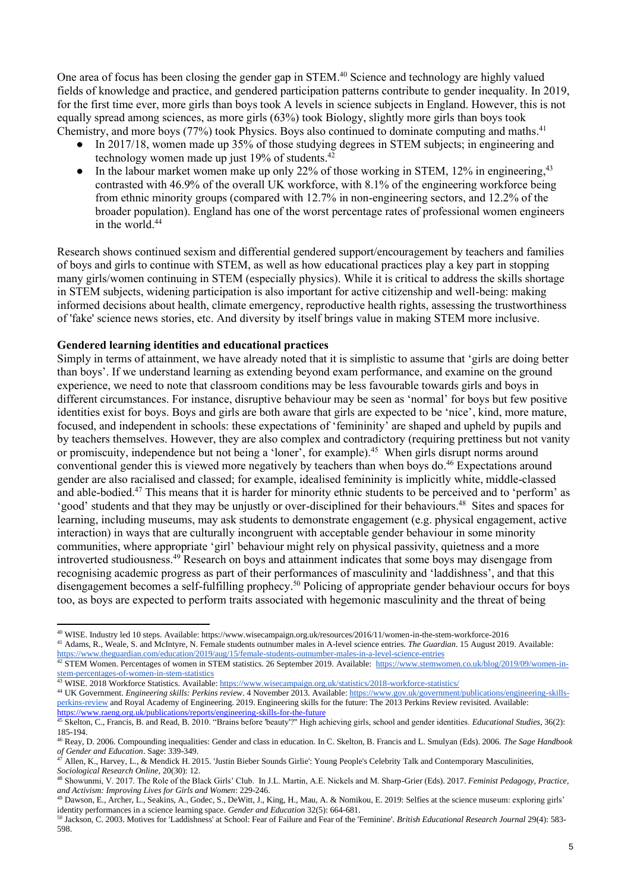One area of focus has been closing the gender gap in STEM. <sup>40</sup> Science and technology are highly valued fields of knowledge and practice, and gendered participation patterns contribute to gender inequality. In 2019, for the first time ever, more girls than boys took A levels in science subjects in England. However, this is not equally spread among sciences, as more girls (63%) took Biology, slightly more girls than boys took Chemistry, and more boys (77%) took Physics. Boys also continued to dominate computing and maths.<sup>41</sup>

- In 2017/18, women made up 35% of those studying degrees in STEM subjects; in engineering and technology women made up just 19% of students.<sup>42</sup>
- In the labour market women make up only 22% of those working in STEM, 12% in engineering,<sup>43</sup> contrasted with 46.9% of the overall UK workforce, with 8.1% of the engineering workforce being from ethnic minority groups (compared with 12.7% in non-engineering sectors, and 12.2% of the broader population). England has one of the worst percentage rates of professional women engineers in the world. 44

Research shows continued sexism and differential gendered support/encouragement by teachers and families of boys and girls to continue with STEM, as well as how educational practices play a key part in stopping many girls/women continuing in STEM (especially physics). While it is critical to address the skills shortage in STEM subjects, widening participation is also important for active citizenship and well-being: making informed decisions about health, climate emergency, reproductive health rights, assessing the trustworthiness of 'fake' science news stories, etc. And diversity by itself brings value in making STEM more inclusive.

## **Gendered learning identities and educational practices**

Simply in terms of attainment, we have already noted that it is simplistic to assume that 'girls are doing better than boys'. If we understand learning as extending beyond exam performance, and examine on the ground experience, we need to note that classroom conditions may be less favourable towards girls and boys in different circumstances. For instance, disruptive behaviour may be seen as 'normal' for boys but few positive identities exist for boys. Boys and girls are both aware that girls are expected to be 'nice', kind, more mature, focused, and independent in schools: these expectations of 'femininity' are shaped and upheld by pupils and by teachers themselves. However, they are also complex and contradictory (requiring prettiness but not vanity or promiscuity, independence but not being a 'loner', for example).<sup>45</sup> When girls disrupt norms around conventional gender this is viewed more negatively by teachers than when boys do. <sup>46</sup> Expectations around gender are also racialised and classed; for example, idealised femininity is implicitly white, middle-classed and able-bodied.<sup>47</sup> This means that it is harder for minority ethnic students to be perceived and to 'perform' as 'good' students and that they may be unjustly or over-disciplined for their behaviours.<sup>48</sup> Sites and spaces for learning, including museums, may ask students to demonstrate engagement (e.g. physical engagement, active interaction) in ways that are culturally incongruent with acceptable gender behaviour in some minority communities, where appropriate 'girl' behaviour might rely on physical passivity, quietness and a more introverted studiousness.<sup>49</sup> Research on boys and attainment indicates that some boys may disengage from recognising academic progress as part of their performances of masculinity and 'laddishness', and that this disengagement becomes a self-fulfilling prophecy. <sup>50</sup> Policing of appropriate gender behaviour occurs for boys too, as boys are expected to perform traits associated with hegemonic masculinity and the threat of being

<https://www.theguardian.com/education/2019/aug/15/female-students-outnumber-males-in-a-level-science-entries> <sup>42</sup> STEM Women. Percentages of women in STEM statistics. 26 September 2019. Available: [https://www.stemwomen.co.uk/blog/2019/09/women-in-](https://www.stemwomen.co.uk/blog/2019/09/women-in-stem-percentages-of-women-in-stem-statistics)

43 WISE. 2018 Workforce Statistics. Available[: https://www.wisecampaign.org.uk/statistics/2018-workforce-statistics/](https://www.wisecampaign.org.uk/statistics/2018-workforce-statistics/)

<sup>44</sup> UK Government. *Engineering skills: Perkins review*. 4 November 2013. Available[: https://www.gov.uk/government/publications/engineering-skills](https://www.gov.uk/government/publications/engineering-skills-perkins-review)[perkins-review](https://www.gov.uk/government/publications/engineering-skills-perkins-review) and Royal Academy of Engineering. 2019. Engineering skills for the future: The 2013 Perkins Review revisited. Available: <https://www.raeng.org.uk/publications/reports/engineering-skills-for-the-future>

<sup>40</sup> WISE. Industry led 10 steps. Available: https://www.wisecampaign.org.uk/resources/2016/11/women-in-the-stem-workforce-2016 <sup>41</sup> Adams, R., Weale, S. and McIntyre, N. Female students outnumber males in A-level science entries. *The Guardian*. 15 August 2019. Available:

[stem-percentages-of-women-in-stem-statistics](https://www.stemwomen.co.uk/blog/2019/09/women-in-stem-percentages-of-women-in-stem-statistics)

<sup>45</sup> Skelton, C., Francis, B. an[d Read, B.](http://eprints.gla.ac.uk/view/author/29543.html) 2010. "Brains before 'beauty'?" High achieving girls, school and gender identities. *[Educational Studies](http://eprints.gla.ac.uk/view/journal_volume/Educational_Studies.html)*, 36(2): 185-194.

<sup>46</sup> Reay, D. 2006. Compounding inequalities: Gender and class in education. In C. Skelton, B. Francis and L. Smulyan (Eds). 2006. *The Sage Handbook of Gender and Education*. Sage: 339-349.

<sup>47</sup> Allen, K., Harvey, L., & Mendick H. 2015. 'Justin Bieber Sounds Girlie': Young People's Celebrity Talk and Contemporary Masculinities, *Sociological Research Online,* 20(30): 12.

<sup>48</sup> Showunmi, V. 2017. The Role of the Black Girls' Club. In J.L. Martin, A.E. Nickels and M. Sharp-Grier (Eds). 2017. *Feminist Pedagogy, Practice, and Activism: Improving Lives for Girls and Women*: 229-246.

<sup>49</sup> Dawson, E., Archer, L., Seakins, A., Godec, S., DeWitt, J., King, H., Mau, A. & Nomikou, E. 2019: Selfies at the science museum: exploring girls' identity performances in a science learning space. *Gender and Education* 32(5): 664-681.

<sup>50</sup> Jackson, C. 2003. Motives for 'Laddishness' at School: Fear of Failure and Fear of the 'Feminine'. *British Educational Research Journal* 29(4): 583- 598.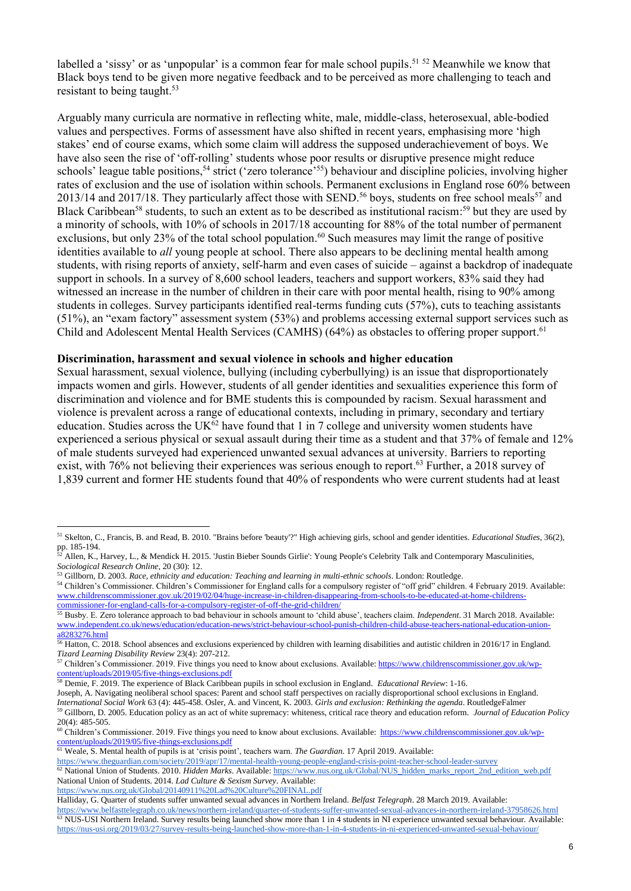labelled a 'sissy' or as 'unpopular' is a common fear for male school pupils.<sup>51 52</sup> Meanwhile we know that Black boys tend to be given more negative feedback and to be perceived as more challenging to teach and resistant to being taught. 53

Arguably many curricula are normative in reflecting white, male, middle-class, heterosexual, able-bodied values and perspectives. Forms of assessment have also shifted in recent years, emphasising more 'high stakes' end of course exams, which some claim will address the supposed underachievement of boys. We have also seen the rise of 'off-rolling' students whose poor results or disruptive presence might reduce schools' league table positions,<sup>54</sup> strict ('zero tolerance'<sup>55</sup>) behaviour and discipline policies, involving higher rates of exclusion and the use of isolation within schools. Permanent exclusions in England rose 60% between  $2013/14$  and  $2017/18$ . They particularly affect those with SEND.<sup>56</sup> boys, students on free school meals<sup>57</sup> and Black Caribbean<sup>58</sup> students, to such an extent as to be described as institutional racism:<sup>59</sup> but they are used by a minority of schools, with 10% of schools in 2017/18 accounting for 88% of the total number of permanent exclusions, but only 23% of the total school population.<sup>60</sup> Such measures may limit the range of positive identities available to *all* young people at school. There also appears to be declining mental health among students, with rising reports of anxiety, self-harm and even cases of suicide – against a backdrop of inadequate support in schools. In a survey of 8,600 school leaders, teachers and support workers, 83% said they had witnessed an increase in the number of children in their care with poor mental health, rising to 90% among students in colleges. Survey participants identified real-terms funding cuts (57%), cuts to teaching assistants (51%), an "exam factory" assessment system (53%) and problems accessing external support services such as Child and Adolescent Mental Health Services (CAMHS) (64%) as obstacles to offering proper support.<sup>61</sup>

#### **Discrimination, harassment and sexual violence in schools and higher education**

Sexual harassment, sexual violence, bullying (including cyberbullying) is an issue that disproportionately impacts women and girls. However, students of all gender identities and sexualities experience this form of discrimination and violence and for BME students this is compounded by racism. Sexual harassment and violence is prevalent across a range of educational contexts, including in primary, secondary and tertiary education. Studies across the UK $^{62}$  have found that 1 in 7 college and university women students have experienced a serious physical or sexual assault during their time as a student and that 37% of female and 12% of male students surveyed had experienced unwanted sexual advances at university. Barriers to reporting exist, with 76% not believing their experiences was serious enough to report.<sup>63</sup> Further, a 2018 survey of 1,839 current and former HE students found that 40% of respondents who were current students had at least

<sup>58</sup> Demie, F. 2019. The experience of Black Caribbean pupils in school exclusion in England. *Educational Review*: 1-16.

Joseph, A. Navigating neoliberal school spaces: Parent and school staff perspectives on racially disproportional school exclusions in England.

<https://www.nus.org.uk/Global/20140911%20Lad%20Culture%20FINAL.pdf>

<sup>51</sup> Skelton, C., Francis, B. an[d Read, B.](http://eprints.gla.ac.uk/view/author/29543.html) 2010[. "Brains before 'beauty'?" High achieving girls, school and gender identities.](http://eprints.gla.ac.uk/74192/) *[Educational Studies](http://eprints.gla.ac.uk/view/journal_volume/Educational_Studies.html)*, 36(2), pp. 185-194.

<sup>52</sup> Allen, K., Harvey, L., & Mendick H. 2015. 'Justin Bieber Sounds Girlie': Young People's Celebrity Talk and Contemporary Masculinities, *Sociological Research Online,* 20 (30): 12.

<sup>53</sup> Gillborn, D. 2003. *Race, ethnicity and education: Teaching and learning in multi-ethnic schools*. London: Routledge.

<sup>54</sup> Children's Commissioner. Children's Commissioner for England calls for a compulsory register of "off grid" children. 4 February 2019. Available: [www.childrenscommissioner.gov.uk/2019/02/04/huge-increase-in-children-disappearing-from-schools-to-be-educated-at-home-childrens](http://www.childrenscommissioner.gov.uk/2019/02/04/huge-increase-in-children-disappearing-from-schools-to-be-educated-at-home-childrens-commissioner-for-england-calls-for-a-compulsory-register-of-off-the-grid-children/)[commissioner-for-england-calls-for-a-compulsory-register-of-off-the-grid-children/](http://www.childrenscommissioner.gov.uk/2019/02/04/huge-increase-in-children-disappearing-from-schools-to-be-educated-at-home-childrens-commissioner-for-england-calls-for-a-compulsory-register-of-off-the-grid-children/)

<sup>55</sup> Busby. E. Zero tolerance approach to bad behaviour in schools amount to 'child abuse', teachers claim. *Independent*. 31 March 2018. Available: [www.independent.co.uk/news/education/education-news/strict-behaviour-school-punish-children-child-abuse-teachers-national-education-union](http://www.independent.co.uk/news/education/education-news/strict-behaviour-school-punish-children-child-abuse-teachers-national-education-union-a8283276.html)[a8283276.html](http://www.independent.co.uk/news/education/education-news/strict-behaviour-school-punish-children-child-abuse-teachers-national-education-union-a8283276.html)

<sup>&</sup>lt;sup>56</sup> Hatton, C. 2018. School absences and exclusions experienced by children with learning disabilities and autistic children in 2016/17 in England. *Tizard Learning Disability Review* 23(4): 207-212.

<sup>&</sup>lt;sup>57</sup> Children's Commissioner. 2019. Five things you need to know about exclusions. Available[: https://www.childrenscommissioner.gov.uk/wp](https://www.childrenscommissioner.gov.uk/wp-content/uploads/2019/05/five-things-exclusions.pdf)[content/uploads/2019/05/five-things-exclusions.pdf](https://www.childrenscommissioner.gov.uk/wp-content/uploads/2019/05/five-things-exclusions.pdf)

*International Social Work* 63 (4): 445-458. Osler, A. and Vincent, K. 2003. *Girls and exclusion: Rethinking the agenda*. RoutledgeFalmer <sup>59</sup> Gillborn, D. 2005. Education policy as an act of white supremacy: whiteness, critical race theory and education reform. *Journal of Education Policy* 20(4): 485-505.

<sup>&</sup>lt;sup>60</sup> Children's Commissioner. 2019. Five things you need to know about exclusions. Available: [https://www.childrenscommissioner.gov.uk/wp](https://www.childrenscommissioner.gov.uk/wp-content/uploads/2019/05/five-things-exclusions.pdf)[content/uploads/2019/05/five-things-exclusions.pdf](https://www.childrenscommissioner.gov.uk/wp-content/uploads/2019/05/five-things-exclusions.pdf)

<sup>61</sup> Weale, S. Mental health of pupils is at 'crisis point', teachers warn. *The Guardian*. 17 April 2019. Available:

<https://www.theguardian.com/society/2019/apr/17/mental-health-young-people-england-crisis-point-teacher-school-leader-survey>

<sup>62</sup> National Union of Students. 2010. *Hidden Marks*. Available[: https://www.nus.org.uk/Global/NUS\\_hidden\\_marks\\_report\\_2nd\\_edition\\_web.pdf](https://www.nus.org.uk/Global/NUS_hidden_marks_report_2nd_edition_web.pdf) National Union of Students. 2014. *Lad Culture & Sexism Survey*. Available:

Halliday, G. Quarter of students suffer unwanted sexual advances in Northern Ireland. *Belfast Telegraph*. 28 March 2019. Available:

<https://www.belfasttelegraph.co.uk/news/northern-ireland/quarter-of-students-suffer-unwanted-sexual-advances-in-northern-ireland-37958626.html> <sup>63</sup> NUS-USI Northern Ireland. Survey results being launched show more than 1 in 4 students in NI experience unwanted sexual behaviour. Available: <https://nus-usi.org/2019/03/27/survey-results-being-launched-show-more-than-1-in-4-students-in-ni-experienced-unwanted-sexual-behaviour/>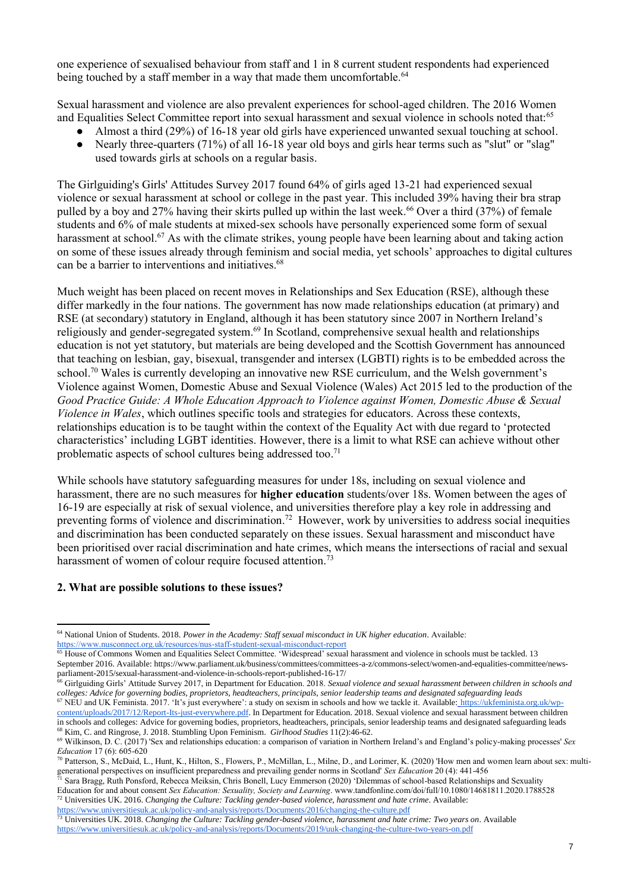one experience of sexualised behaviour from staff and 1 in 8 current student respondents had experienced being touched by a staff member in a way that made them uncomfortable.<sup>64</sup>

Sexual harassment and violence are also prevalent experiences for school-aged children. The 2016 Women and Equalities Select Committee report into sexual harassment and sexual violence in schools noted that:<sup>65</sup>

- Almost a third (29%) of 16-18 year old girls have experienced unwanted sexual touching at school.
- Nearly three-quarters (71%) of all 16-18 year old boys and girls hear terms such as "slut" or "slag" used towards girls at schools on a regular basis.

The Girlguiding's Girls' Attitudes Survey 2017 found 64% of girls aged 13-21 had experienced sexual violence or sexual harassment at school or college in the past year. This included 39% having their bra strap pulled by a boy and 27% having their skirts pulled up within the last week.<sup>66</sup> Over a third (37%) of female students and 6% of male students at mixed-sex schools have personally experienced some form of sexual harassment at school.<sup>67</sup> As with the climate strikes, young people have been learning about and taking action on some of these issues already through feminism and social media, yet schools' approaches to digital cultures can be a barrier to interventions and initiatives. 68

Much weight has been placed on recent moves in Relationships and Sex Education (RSE), although these differ markedly in the four nations. The government has now made relationships education (at primary) and RSE (at secondary) statutory in England, although it has been statutory since 2007 in Northern Ireland's religiously and gender-segregated system.<sup>69</sup> In Scotland, comprehensive sexual health and relationships education is not yet statutory, but materials are being developed and the Scottish Government has announced that teaching on lesbian, gay, bisexual, transgender and intersex (LGBTI) rights is to be embedded across the school.<sup>70</sup> Wales is currently developing an innovative new RSE curriculum, and the Welsh government's Violence against Women, Domestic Abuse and Sexual Violence (Wales) Act 2015 led to the production of the *Good Practice Guide: A Whole Education Approach to Violence against Women, Domestic Abuse & Sexual Violence in Wales*, which outlines specific tools and strategies for educators. Across these contexts, relationships education is to be taught within the context of the Equality Act with due regard to 'protected characteristics' including LGBT identities. However, there is a limit to what RSE can achieve without other problematic aspects of school cultures being addressed too.<sup>71</sup>

While schools have statutory safeguarding measures for under 18s, including on sexual violence and harassment, there are no such measures for **higher education** students/over 18s. Women between the ages of 16-19 are especially at risk of sexual violence, and universities therefore play a key role in addressing and preventing forms of violence and discrimination.<sup>72</sup> However, work by universities to address social inequities and discrimination has been conducted separately on these issues. Sexual harassment and misconduct have been prioritised over racial discrimination and hate crimes, which means the intersections of racial and sexual harassment of women of colour require focused attention.<sup>73</sup>

### **2. What are possible solutions to these issues?**

<sup>71</sup> Sara Bragg, Ruth Ponsford, Rebecca Meiksin, Chris Bonell, Lucy Emmerson (2020) 'Dilemmas of school-based Relationships and Sexuality Education for and about consent *Sex Education: Sexuality, Society and Learning*. www.tandfonline.com/doi/full/10.1080/14681811.2020.1788528 <sup>72</sup> Universities UK. 2016. *Changing the Culture: Tackling gender-based violence, harassment and hate crime*. Available: <https://www.universitiesuk.ac.uk/policy-and-analysis/reports/Documents/2016/changing-the-culture.pdf>

<sup>64</sup> National Union of Students. 2018. *Power in the Academy: Staff sexual misconduct in UK higher education*. Available: <https://www.nusconnect.org.uk/resources/nus-staff-student-sexual-misconduct-report>

<sup>&</sup>lt;sup>65</sup> House of Commons Women and Equalities Select Committee. 'Widespread' sexual harassment and violence in schools must be tackled. 13 September 2016. Available: https://www.parliament.uk/business/committees/committees-a-z/commons-select/women-and-equalities-committee/newsparliament-2015/sexual-harassment-and-violence-in-schools-report-published-16-17/

<sup>66</sup> Girlguiding Girls' Attitude Survey 2017, in Department for Education. 2018. *Sexual violence and sexual harassment between children in schools and colleges: Advice for governing bodies, proprietors, headteachers, principals, senior leadership teams and designated safeguarding leads* 

<sup>&</sup>lt;sup>67</sup> NEU and UK Feminista. 2017. 'It's just everywhere': a study on sexism in schools and how we tackle it. Availabl[e:](%20) [https://ukfeminista.org.uk/wp](https://ukfeminista.org.uk/wp-content/uploads/2017/12/Report-Its-just-everywhere.pdf)[content/uploads/2017/12/Report-Its-just-everywhere.pdf.](https://ukfeminista.org.uk/wp-content/uploads/2017/12/Report-Its-just-everywhere.pdf) In Department for Education. 2018. Sexual violence and sexual harassment between children in schools and colleges: Advice for governing bodies, proprietors, headteachers, principals, senior leadership teams and designated safeguarding leads <sup>68</sup> Kim, C. and Ringrose, J. 2018. Stumbling Upon Feminism. *Girlhood Studies* 11(2):46-62.

<sup>69</sup> Wilkinson, D. C. (2017) 'Sex and relationships education: a comparison of variation in Northern Ireland's and England's policy-making processes' *Sex Education* 17 (6): 605-620

<sup>70</sup> Patterson, S., McDaid, L., Hunt, K., Hilton, S., Flowers, P., McMillan, L., Milne, D., and Lorimer, K. (2020) 'How men and women learn about sex: multigenerational perspectives on insufficient preparedness and prevailing gender norms in Scotland' *Sex Education* 20 (4): 441-456

<sup>73</sup> Universities UK. 2018. *Changing the Culture: Tackling gender-based violence, harassment and hate crime: Two years on*. Available

<https://www.universitiesuk.ac.uk/policy-and-analysis/reports/Documents/2019/uuk-changing-the-culture-two-years-on.pdf>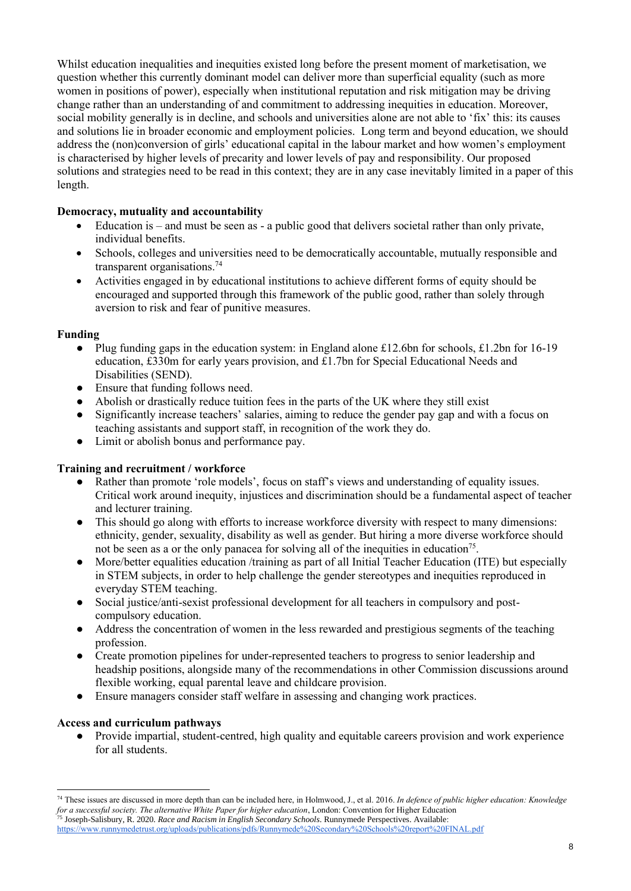Whilst education inequalities and inequities existed long before the present moment of marketisation, we question whether this currently dominant model can deliver more than superficial equality (such as more women in positions of power), especially when institutional reputation and risk mitigation may be driving change rather than an understanding of and commitment to addressing inequities in education. Moreover, social mobility generally is in decline, and schools and universities alone are not able to 'fix' this: its causes and solutions lie in broader economic and employment policies. Long term and beyond education, we should address the (non)conversion of girls' educational capital in the labour market and how women's employment is characterised by higher levels of precarity and lower levels of pay and responsibility. Our proposed solutions and strategies need to be read in this context; they are in any case inevitably limited in a paper of this length.

# **Democracy, mutuality and accountability**

- Education is and must be seen as a public good that delivers societal rather than only private, individual benefits.
- Schools, colleges and universities need to be democratically accountable, mutually responsible and transparent organisations. 74
- Activities engaged in by educational institutions to achieve different forms of equity should be encouraged and supported through this framework of the public good, rather than solely through aversion to risk and fear of punitive measures.

## **Funding**

- Plug funding gaps in the education system: in England alone £12.6bn for schools, £1.2bn for 16-19 education, £330m for early years provision, and £1.7bn for Special Educational Needs and Disabilities (SEND).
- Ensure that funding follows need.
- Abolish or drastically reduce tuition fees in the parts of the UK where they still exist
- Significantly increase teachers' salaries, aiming to reduce the gender pay gap and with a focus on teaching assistants and support staff, in recognition of the work they do.
- Limit or abolish bonus and performance pay.

# **Training and recruitment / workforce**

- Rather than promote 'role models', focus on staff's views and understanding of equality issues. Critical work around inequity, injustices and discrimination should be a fundamental aspect of teacher and lecturer training.
- This should go along with efforts to increase workforce diversity with respect to many dimensions: ethnicity, gender, sexuality, disability as well as gender. But hiring a more diverse workforce should not be seen as a or the only panacea for solving all of the inequities in education<sup>75</sup>.
- More/better equalities education /training as part of all Initial Teacher Education (ITE) but especially in STEM subjects, in order to help challenge the gender stereotypes and inequities reproduced in everyday STEM teaching.
- Social justice/anti-sexist professional development for all teachers in compulsory and postcompulsory education.
- Address the concentration of women in the less rewarded and prestigious segments of the teaching profession.
- Create promotion pipelines for under-represented teachers to progress to senior leadership and headship positions, alongside many of the recommendations in other Commission discussions around flexible working, equal parental leave and childcare provision.
- Ensure managers consider staff welfare in assessing and changing work practices.

## **Access and curriculum pathways**

● Provide impartial, student-centred, high quality and equitable careers provision and work experience for all students.

<sup>75</sup> Joseph-Salisbury, R. 2020. *Race and Racism in English Secondary Schools*. Runnymede Perspectives. Available[:](file:///C:/Users/tlhp/Dropbox/Research/A%20A%20UCL/2019-2020/Consulting/WBG/Revisions/) 

<sup>74</sup> These issues are discussed in more depth than can be included here, in Holmwood, J., et al. 2016. *In defence of public higher education: Knowledge for a successful society. The alternative White Paper for higher education*, London: Convention for Higher Education

<https://www.runnymedetrust.org/uploads/publications/pdfs/Runnymede%20Secondary%20Schools%20report%20FINAL.pdf>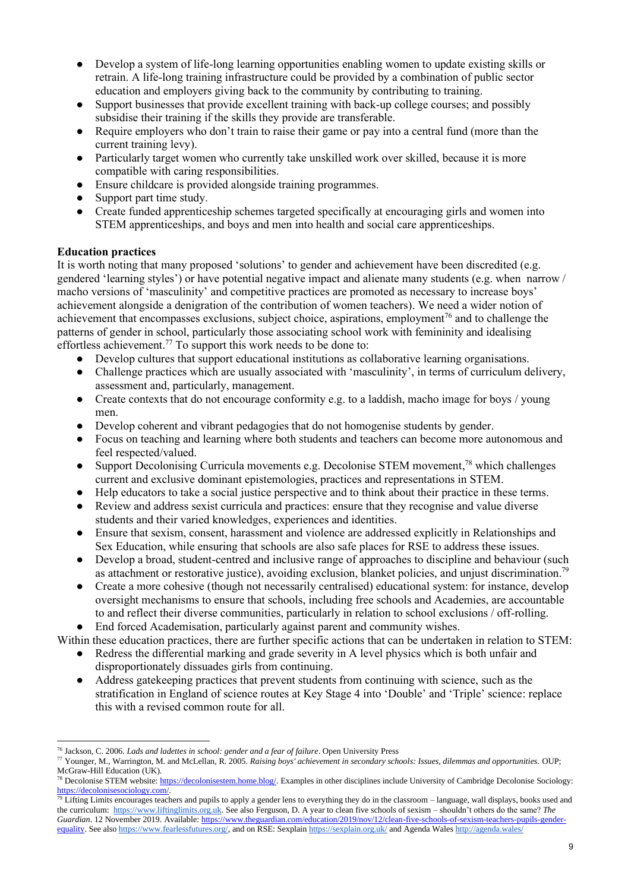- Develop a system of life-long learning opportunities enabling women to update existing skills or retrain. A life-long training infrastructure could be provided by a combination of public sector education and employers giving back to the community by contributing to training.
- Support businesses that provide excellent training with back-up college courses; and possibly subsidise their training if the skills they provide are transferable.
- Require employers who don't train to raise their game or pay into a central fund (more than the current training levy).
- Particularly target women who currently take unskilled work over skilled, because it is more compatible with caring responsibilities.
- Ensure childcare is provided alongside training programmes.
- Support part time study.
- Create funded apprenticeship schemes targeted specifically at encouraging girls and women into STEM apprenticeships, and boys and men into health and social care apprenticeships.

# **Education practices**

It is worth noting that many proposed 'solutions' to gender and achievement have been discredited (e.g. gendered 'learning styles') or have potential negative impact and alienate many students (e.g. when narrow / macho versions of 'masculinity' and competitive practices are promoted as necessary to increase boys' achievement alongside a denigration of the contribution of women teachers). We need a wider notion of achievement that encompasses exclusions, subject choice, aspirations, employment<sup>76</sup> and to challenge the patterns of gender in school, particularly those associating school work with femininity and idealising effortless achievement.<sup>77</sup> To support this work needs to be done to:

- Develop cultures that support educational institutions as collaborative learning organisations.
- Challenge practices which are usually associated with 'masculinity', in terms of curriculum delivery, assessment and, particularly, management.
- Create contexts that do not encourage conformity e.g. to a laddish, macho image for boys / young men.
- Develop coherent and vibrant pedagogies that do not homogenise students by gender.
- Focus on teaching and learning where both students and teachers can become more autonomous and feel respected/valued.
- Support Decolonising Curricula movements e.g. Decolonise STEM movement,<sup>78</sup> which challenges current and exclusive dominant epistemologies, practices and representations in STEM.
- Help educators to take a social justice perspective and to think about their practice in these terms.
- Review and address sexist curricula and practices: ensure that they recognise and value diverse students and their varied knowledges, experiences and identities.
- Ensure that sexism, consent, harassment and violence are addressed explicitly in Relationships and Sex Education, while ensuring that schools are also safe places for RSE to address these issues.
- Develop a broad, student-centred and inclusive range of approaches to discipline and behaviour (such as attachment or restorative justice), avoiding exclusion, blanket policies, and unjust discrimination.<sup>79</sup>
- Create a more cohesive (though not necessarily centralised) educational system: for instance, develop oversight mechanisms to ensure that schools, including free schools and Academies, are accountable to and reflect their diverse communities, particularly in relation to school exclusions / off-rolling.

End forced Academisation, particularly against parent and community wishes.

Within these education practices, there are further specific actions that can be undertaken in relation to STEM:

- Redress the differential marking and grade severity in A level physics which is both unfair and disproportionately dissuades girls from continuing.
- Address gatekeeping practices that prevent students from continuing with science, such as the stratification in England of science routes at Key Stage 4 into 'Double' and 'Triple' science: replace this with a revised common route for all.

<sup>76</sup> Jackson, C. 2006. *Lads and ladettes in school: gender and a fear of failure*. Open University Press

<sup>77</sup> Younger, M., Warrington, M. and McLellan, R. 2005. *Raising boys' achievement in secondary schools: Issues, dilemmas and opportunities.* OUP; McGraw-Hill Education (UK).

<sup>&</sup>lt;sup>78</sup> Decolonise STEM website[: https://decolonisestem.home.blog/.](https://decolonisestem.home.blog/) Examples in other disciplines include University of Cambridge Decolonise Sociology: [https://decolonisesociology.com/.](https://decolonisesociology.com/)

 $79$  Lifting Limits encourages teachers and pupils to apply a gender lens to everything they do in the classroom – language, wall displays, books used and the curriculum[: https://www.liftinglimits.org.uk.](https://www.liftinglimits.org.uk/) See also Ferguson, D. A year to clean five schools of sexism – shouldn't others do the same? *The Guardian*. 12 November 2019. Available[: https://www.theguardian.com/education/2019/nov/12/clean-five-schools-of-sexism-teachers-pupils-gender](https://www.theguardian.com/education/2019/nov/12/clean-five-schools-of-sexism-teachers-pupils-gender-equality)[equality.](https://www.theguardian.com/education/2019/nov/12/clean-five-schools-of-sexism-teachers-pupils-gender-equality) See als[o https://www.fearlessfutures.org/,](https://www.fearlessfutures.org/) and on RSE: Sexplai[n https://sexplain.org.uk/](https://sexplain.org.uk/) and Agenda Wale[s http://agenda.wales/](http://agenda.wales/)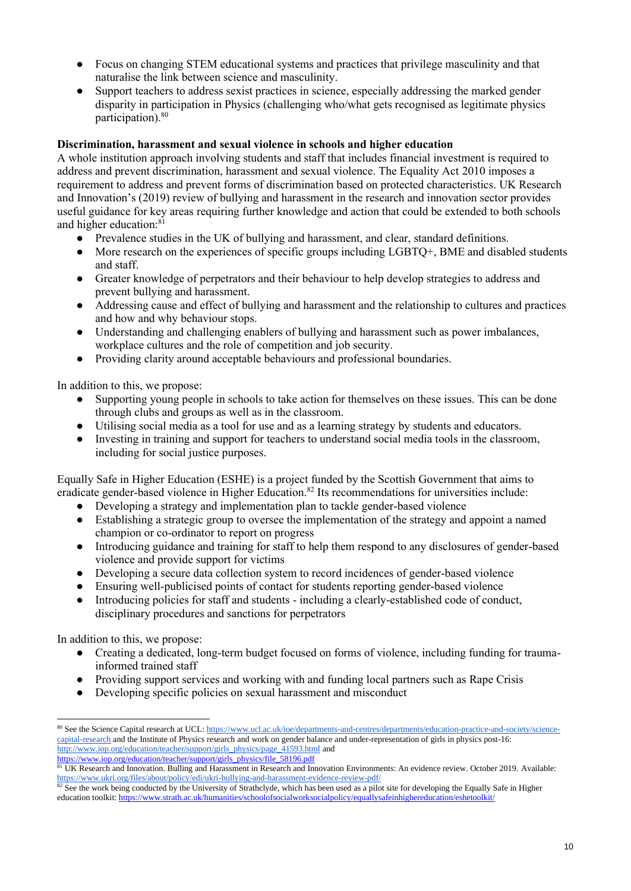- Focus on changing STEM educational systems and practices that privilege masculinity and that naturalise the link between science and masculinity.
- Support teachers to address sexist practices in science, especially addressing the marked gender disparity in participation in Physics (challenging who/what gets recognised as legitimate physics participation).<sup>80</sup>

## **Discrimination, harassment and sexual violence in schools and higher education**

A whole institution approach involving students and staff that includes financial investment is required to address and prevent discrimination, harassment and sexual violence. The Equality Act 2010 imposes a requirement to address and prevent forms of discrimination based on protected characteristics. UK Research and Innovation's (2019) review of bullying and harassment in the research and innovation sector provides useful guidance for key areas requiring further knowledge and action that could be extended to both schools and higher education: 81

- Prevalence studies in the UK of bullying and harassment, and clear, standard definitions.
- More research on the experiences of specific groups including LGBTO+, BME and disabled students and staff.
- Greater knowledge of perpetrators and their behaviour to help develop strategies to address and prevent bullying and harassment.
- Addressing cause and effect of bullying and harassment and the relationship to cultures and practices and how and why behaviour stops.
- Understanding and challenging enablers of bullying and harassment such as power imbalances, workplace cultures and the role of competition and job security.
- Providing clarity around acceptable behaviours and professional boundaries.

In addition to this, we propose:

- Supporting young people in schools to take action for themselves on these issues. This can be done through clubs and groups as well as in the classroom.
- Utilising social media as a tool for use and as a learning strategy by students and educators.
- Investing in training and support for teachers to understand social media tools in the classroom, including for social justice purposes.

Equally Safe in Higher Education (ESHE) is a project funded by the Scottish Government that aims to eradicate gender-based violence in Higher Education.<sup>82</sup> Its recommendations for universities include:

- Developing a strategy and implementation plan to tackle gender-based violence
- Establishing a strategic group to oversee the implementation of the strategy and appoint a named champion or co-ordinator to report on progress
- Introducing guidance and training for staff to help them respond to any disclosures of gender-based violence and provide support for victims
- Developing a secure data collection system to record incidences of gender-based violence
- Ensuring well-publicised points of contact for students reporting gender-based violence
- Introducing policies for staff and students including a clearly-established code of conduct, disciplinary procedures and sanctions for perpetrators

In addition to this, we propose:

- Creating a dedicated, long-term budget focused on forms of violence, including funding for traumainformed trained staff
- Providing support services and working with and funding local partners such as Rape Crisis
- Developing specific policies on sexual harassment and misconduct

[https://www.iop.org/education/teacher/support/girls\\_physics/file\\_58196.pdf](https://www.iop.org/education/teacher/support/girls_physics/file_58196.pdf)

<sup>80</sup> See the Science Capital research at UCL[: https://www.ucl.ac.uk/ioe/departments-and-centres/departments/education-practice-and-society/science](https://www.ucl.ac.uk/ioe/departments-and-centres/departments/education-practice-and-society/science-capital-research)[capital-research](https://www.ucl.ac.uk/ioe/departments-and-centres/departments/education-practice-and-society/science-capital-research) and the Institute of Physics research and work on gender balance and under-representation of girls in physics post-16: [http://www.iop.org/education/teacher/support/girls\\_physics/page\\_41593.html](http://www.iop.org/education/teacher/support/girls_physics/page_41593.html) and

<sup>&</sup>lt;sup>81</sup> UK Research and Innovation. Bulling and Harassment in Research and Innovation Environments: An evidence review. October 2019. Available: <https://www.ukri.org/files/about/policy/edi/ukri-bullying-and-harassment-evidence-review-pdf/>

 $82$  See the work being conducted by the University of Strathclyde, which has been used as a pilot site for developing the Equally Safe in Higher education toolkit[: https://www.strath.ac.uk/humanities/schoolofsocialworksocialpolicy/equallysafeinhighereducation/eshetoolkit/](https://www.strath.ac.uk/humanities/schoolofsocialworksocialpolicy/equallysafeinhighereducation/eshetoolkit/)